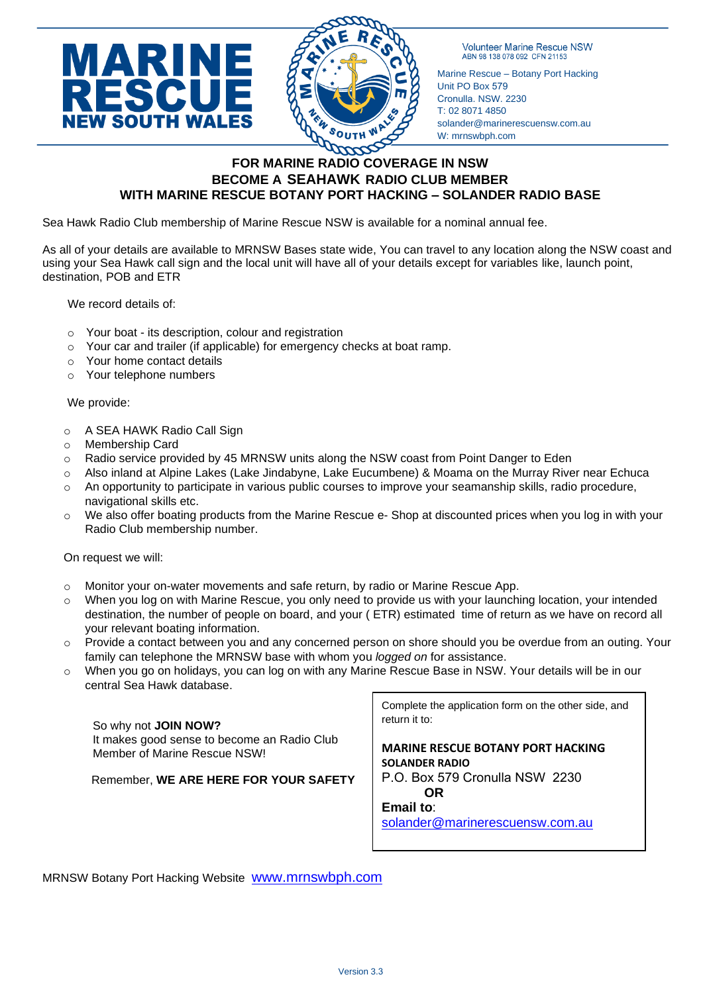

**Volunteer Marine Rescue NSW** ABN 98 138 078 092 CFN 21153

Marine Rescue – Botany Port Hacking Unit PO Box 579 Cronulla. NSW. 2230 T: 02 8071 4850 solander@marinerescuensw.com.au W: mrnswbph.com

## **FOR MARINE RADIO COVERAGE IN NSW BECOME A SEAHAWK RADIO CLUB MEMBER WITH MARINE RESCUE BOTANY PORT HACKING – SOLANDER RADIO BASE**

Sea Hawk Radio Club membership of Marine Rescue NSW is available for a nominal annual fee.

As all of your details are available to MRNSW Bases state wide, You can travel to any location along the NSW coast and using your Sea Hawk call sign and the local unit will have all of your details except for variables like, launch point, destination, POB and ETR

We record details of:

- o Your boat its description, colour and registration
- $\circ$  Your car and trailer (if applicable) for emergency checks at boat ramp.
- o Your home contact details
- o Your telephone numbers

## We provide:

- o A SEA HAWK Radio Call Sign
- o Membership Card
- o Radio service provided by 45 MRNSW units along the NSW coast from Point Danger to Eden
- o Also inland at Alpine Lakes (Lake Jindabyne, Lake Eucumbene) & Moama on the Murray River near Echuca
- $\circ$  An opportunity to participate in various public courses to improve your seamanship skills, radio procedure, navigational skills etc.
- o We also offer boating products from the Marine Rescue e- Shop at discounted prices when you log in with your Radio Club membership number.

On request we will:

- $\circ$  Monitor your on-water movements and safe return, by radio or Marine Rescue App.
- o When you log on with Marine Rescue, you only need to provide us with your launching location, your intended destination, the number of people on board, and your ( ETR) estimated time of return as we have on record all your relevant boating information.
- o Provide a contact between you and any concerned person on shore should you be overdue from an outing. Your family can telephone the MRNSW base with whom you *logged on* for assistance.
- When you go on holidays, you can log on with any Marine Rescue Base in NSW. Your details will be in our central Sea Hawk database.

So why not **JOIN NOW?** It makes good sense to become an Radio Club Member of Marine Rescue NSW!

Remember, **WE ARE HERE FOR YOUR SAFETY**

Complete the application form on the other side, and return it to:

**MARINE RESCUE BOTANY PORT HACKING SOLANDER RADIO** 

P.O. Box 579 Cronulla NSW 2230 **OR**

**Email to**:

[solander@marinerescuensw.com.au](mailto:solander@marinerescuensw.com.au)

MRNSW Botany Port Hacking Website [www.mrnswbph.com](http://www.mrnswbph.com/)